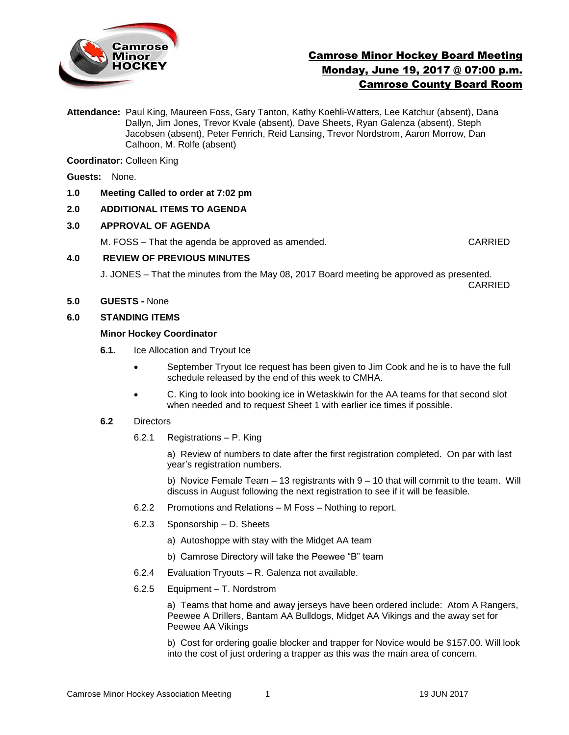

# Camrose Minor Hockey Board Meeting Monday, June 19, 2017 @ 07:00 p.m. Camrose County Board Room

**Attendance:** Paul King, Maureen Foss, Gary Tanton, Kathy Koehli-Watters, Lee Katchur (absent), Dana Dallyn, Jim Jones, Trevor Kvale (absent), Dave Sheets, Ryan Galenza (absent), Steph Jacobsen (absent), Peter Fenrich, Reid Lansing, Trevor Nordstrom, Aaron Morrow, Dan Calhoon, M. Rolfe (absent)

**Coordinator:** Colleen King

**Guests:** None.

**1.0 Meeting Called to order at 7:02 pm**

# **2.0 ADDITIONAL ITEMS TO AGENDA**

#### **3.0 APPROVAL OF AGENDA**

M. FOSS – That the agenda be approved as amended. CARRIED

#### **4.0 REVIEW OF PREVIOUS MINUTES**

J. JONES – That the minutes from the May 08, 2017 Board meeting be approved as presented. CARRIED

**5.0 GUESTS -** None

## **6.0 STANDING ITEMS**

#### **Minor Hockey Coordinator**

- **6.1.** Ice Allocation and Tryout Ice
	- September Tryout Ice request has been given to Jim Cook and he is to have the full schedule released by the end of this week to CMHA.
	- C. King to look into booking ice in Wetaskiwin for the AA teams for that second slot when needed and to request Sheet 1 with earlier ice times if possible.

#### **6.2** Directors

6.2.1 Registrations – P. King

a)Review of numbers to date after the first registration completed.On par with last year's registration numbers.

b) Novice Female Team  $-13$  registrants with  $9 - 10$  that will commit to the team. Will discuss in August following the next registration to see if it will be feasible.

- 6.2.2 Promotions and Relations M Foss Nothing to report.
- 6.2.3 Sponsorship D. Sheets
	- a) Autoshoppe with stay with the Midget AA team
	- b) Camrose Directory will take the Peewee "B" team
- 6.2.4 Evaluation Tryouts R. Galenza not available.
- 6.2.5 Equipment T. Nordstrom

a) Teams that home and away jerseys have been ordered include: Atom A Rangers, Peewee A Drillers, Bantam AA Bulldogs, Midget AA Vikings and the away set for Peewee AA Vikings

b) Cost for ordering goalie blocker and trapper for Novice would be \$157.00. Will look into the cost of just ordering a trapper as this was the main area of concern.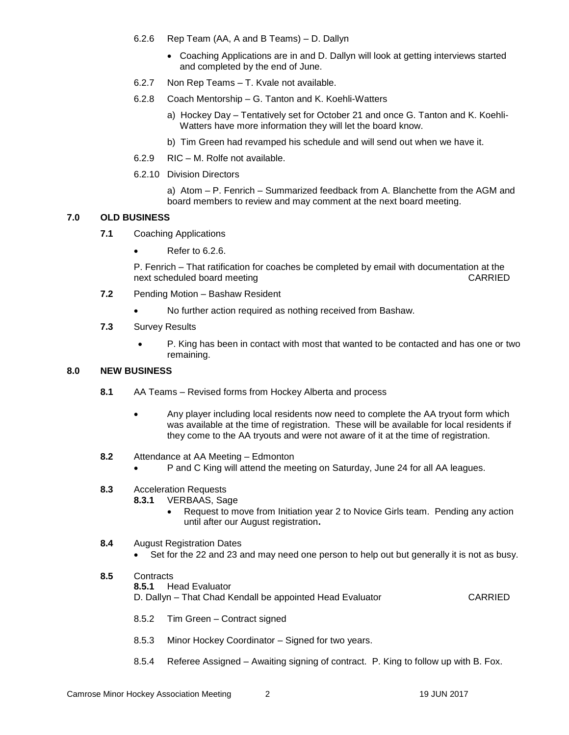- 6.2.6 Rep Team (AA, A and B Teams) D. Dallyn
	- Coaching Applications are in and D. Dallyn will look at getting interviews started and completed by the end of June.
- 6.2.7 Non Rep Teams T. Kvale not available.
- 6.2.8 Coach Mentorship G. Tanton and K. Koehli-Watters
	- a) Hockey Day Tentatively set for October 21 and once G. Tanton and K. Koehli-Watters have more information they will let the board know.
	- b) Tim Green had revamped his schedule and will send out when we have it.
- 6.2.9 RIC M. Rolfe not available.
- 6.2.10 Division Directors

a) Atom – P. Fenrich – Summarized feedback from A. Blanchette from the AGM and board members to review and may comment at the next board meeting.

## **7.0 OLD BUSINESS**

- **7.1** Coaching Applications
	- Refer to 6.2.6.

P. Fenrich – That ratification for coaches be completed by email with documentation at the next scheduled board meeting CARRIED CARRIED

- **7.2** Pending Motion Bashaw Resident
	- No further action required as nothing received from Bashaw.
- **7.3** Survey Results
	- P. King has been in contact with most that wanted to be contacted and has one or two remaining.

## **8.0 NEW BUSINESS**

- **8.1** AA Teams Revised forms from Hockey Alberta and process
	- Any player including local residents now need to complete the AA tryout form which was available at the time of registration. These will be available for local residents if they come to the AA tryouts and were not aware of it at the time of registration.
- **8.2** Attendance at AA Meeting Edmonton
	- P and C King will attend the meeting on Saturday, June 24 for all AA leagues.
- **8.3** Acceleration Requests
	- **8.3.1** VERBAAS, Sage
		- Request to move from Initiation year 2 to Novice Girls team. Pending any action until after our August registration**.**

#### **8.4** August Registration Dates

- Set for the 22 and 23 and may need one person to help out but generally it is not as busy.
- **8.5** Contracts **8.5.1** Head Evaluator D. Dallyn – That Chad Kendall be appointed Head Evaluator CARRIED
	- 8.5.2 Tim Green Contract signed
	- 8.5.3 Minor Hockey Coordinator Signed for two years.
	- 8.5.4 Referee Assigned Awaiting signing of contract. P. King to follow up with B. Fox.